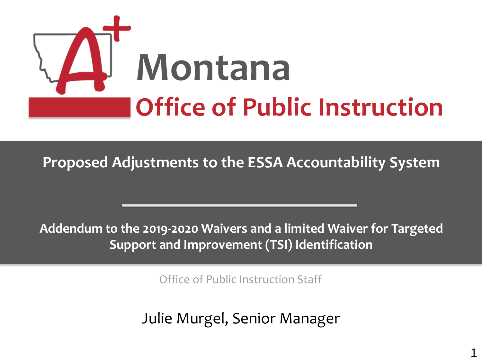

**Proposed Adjustments to the ESSA Accountability System** 

**Addendum to the 2019-2020 Waivers and a limited Waiver for Targeted Support and Improvement (TSI) Identification**

Office of Public Instruction Staff

Julie Mulgei, Jerlior Mariager Julie Murgel, Senior Manager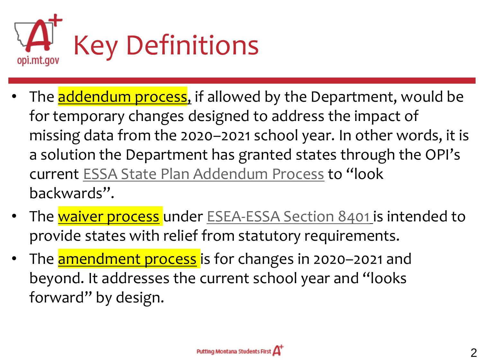

- The addendum process, if allowed by the Department, would be for temporary changes designed to address the impact of missing data from the 2020–2021 school year. In other words, it is a solution the Department has granted states through the OPI's current [ESSA State Plan Addendum Process](http://opi.mt.gov/Portals/182/ESSA/ESSAUpdateDecember2020.pdf?ver=2020-12-14-155112-577) to "look backwards".
- The waiver process under [ESEA-ESSA Section 8401](https://www.congress.gov/114/plaws/publ95/PLAW-114publ95.pdf) is intended to provide states with relief from statutory requirements.
- The **amendment process** is for changes in 2020-2021 and beyond. It addresses the current school year and "looks forward" by design.

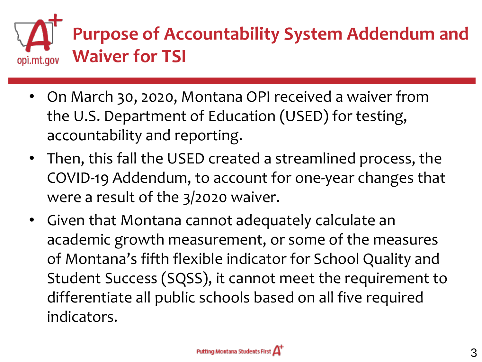

- On March 30, 2020, Montana OPI received a waiver from the U.S. Department of Education (USED) for testing, accountability and reporting.
- Then, this fall the USED created a streamlined process, the COVID-19 Addendum, to account for one-year changes that were a result of the 3/2020 waiver.
- Given that Montana cannot adequately calculate an academic growth measurement, or some of the measures of Montana's fifth flexible indicator for School Quality and Student Success (SQSS), it cannot meet the requirement to differentiate all public schools based on all five required indicators.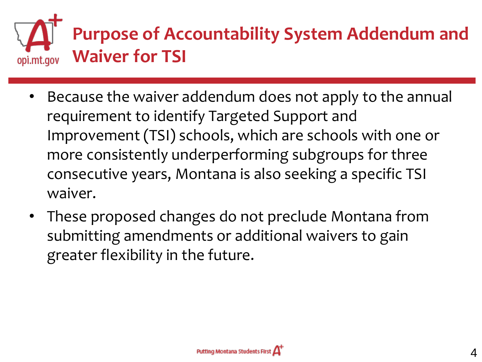

- Because the waiver addendum does not apply to the annual requirement to identify Targeted Support and Improvement (TSI) schools, which are schools with one or more consistently underperforming subgroups for three consecutive years, Montana is also seeking a specific TSI waiver.
- These proposed changes do not preclude Montana from submitting amendments or additional waivers to gain greater flexibility in the future.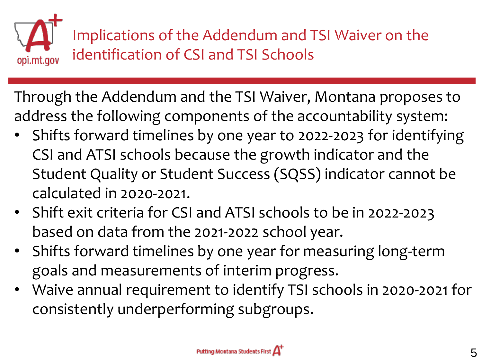

Through the Addendum and the TSI Waiver, Montana proposes to address the following components of the accountability system:

- Shifts forward timelines by one year to 2022-2023 for identifying CSI and ATSI schools because the growth indicator and the Student Quality or Student Success (SQSS) indicator cannot be calculated in 2020-2021.
- Shift exit criteria for CSI and ATSI schools to be in 2022-2023 based on data from the 2021-2022 school year.
- Shifts forward timelines by one year for measuring long-term goals and measurements of interim progress.
- Waive annual requirement to identify TSI schools in 2020-2021 for consistently underperforming subgroups.